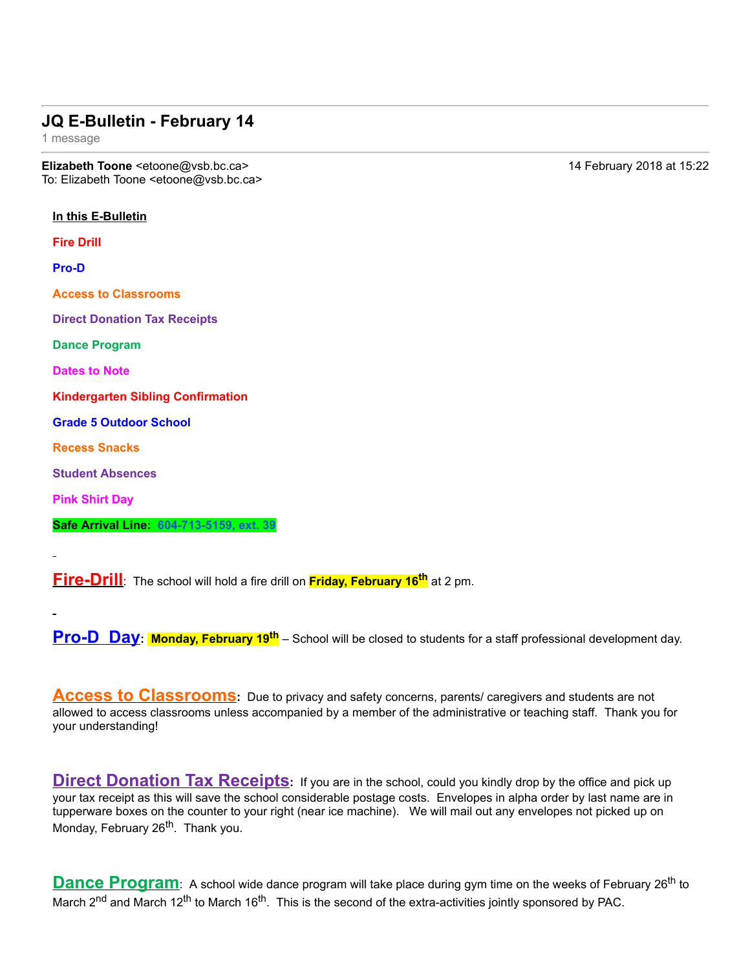## **JQ E-Bulletin - February 14**

1 message

**Elizabeth Toone** <etoone@vsb.bc.ca> 14 February 2018 at 15:22 To: Elizabeth Toone <etoone@vsb.bc.ca>

**In this E-Bulletin Fire Drill** Pro-D **Access to Classrooms Direct Donation Tax Receipts Dance Program Dates to Note Kindergarten Sibling Confirmation Grade 5 Outdoor School Recess Snacks Student Absences Pink Shirt Day Safe Arrival Line: 6047135159, ext. 39**

**Fire-Drill**: The school will hold a fire drill on **Friday, February 16<sup>th</sup> at 2 pm.** 

**Pro-D Day**: **Monday, February 19<sup>th</sup>** – School will be closed to students for a staff professional development day.

Access to Classrooms: Due to privacy and safety concerns, parents/ caregivers and students are not allowed to access classrooms unless accompanied by a member of the administrative or teaching staff. Thank you for your understanding!

**Direct Donation Tax Receipts:** If you are in the school, could you kindly drop by the office and pick up your tax receipt as this will save the school considerable postage costs. Envelopes in alpha order by last name are in tupperware boxes on the counter to your right (near ice machine). We will mail out any envelopes not picked up on Monday, February 26<sup>th</sup>. Thank you.

**Dance Program**: A school wide dance program will take place during gym time on the weeks of February 26<sup>th</sup> to March  $2^{nd}$  and March 12<sup>th</sup> to March 16<sup>th</sup>. This is the second of the extra-activities jointly sponsored by PAC.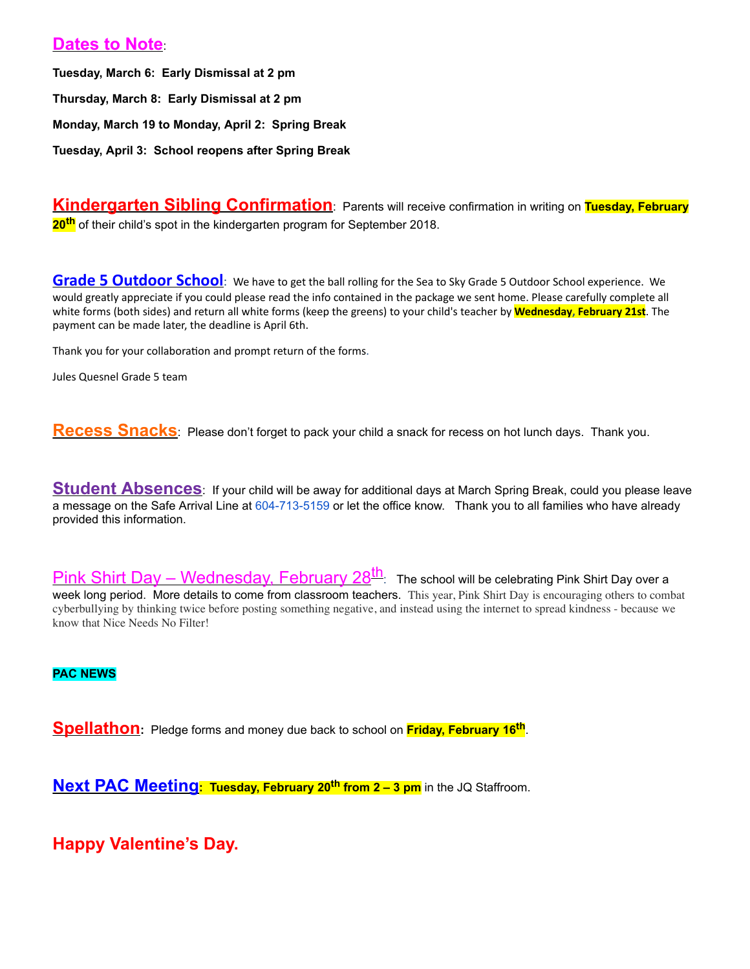## **Dates to Note**:

**Tuesday, March 6: Early Dismissal at 2 pm Thursday, March 8: Early Dismissal at 2 pm Monday, March 19 to Monday, April 2: Spring Break Tuesday, April 3: School reopens after Spring Break**

**Kindergarten Sibling Confirmation**: Parents will receive confirmation in writing on **Tuesday, February 20th** of their child's spot in the kindergarten program for September 2018.

**Grade 5 Outdoor School**: We have to get the ball rolling for the Sea to Sky Grade 5 Outdoor School experience. We would greatly appreciate if you could please read the info contained in the package we sent home. Please carefully complete all white forms (both sides) and return all white forms (keep the greens) to your child's teacher by **Wednesday, February 21st**. The payment can be made later, the deadline is April 6th.

Thank you for your collaboration and prompt return of the forms.

Jules Quesnel Grade 5 team

**Recess Snacks**: Please don't forget to pack your child a snack for recess on hot lunch days. Thank you.

**Student Absences**: If your child will be away for additional days at March Spring Break, could you please leave a message on the Safe Arrival Line at 604-713-5159 or let the office know. Thank you to all families who have already provided this information.

Pink Shirt Day – Wednesday, February 28<sup>th</sup>: The school will be celebrating Pink Shirt Day over a week long period. More details to come from classroom teachers. This year, Pink Shirt Day is encouraging others to combat cyberbullying by thinking twice before posting something negative, and instead using the internet to spread kindness - because we know that Nice Needs No Filter!

**PAC NEWS**

**Spellathon:** Pledge forms and money due back to school on **Friday, February 16th**.

**Next PAC Meeting: Tuesday, February 20th from 2 – 3 pm** in the JQ Staffroom.

**Happy Valentine's Day.**